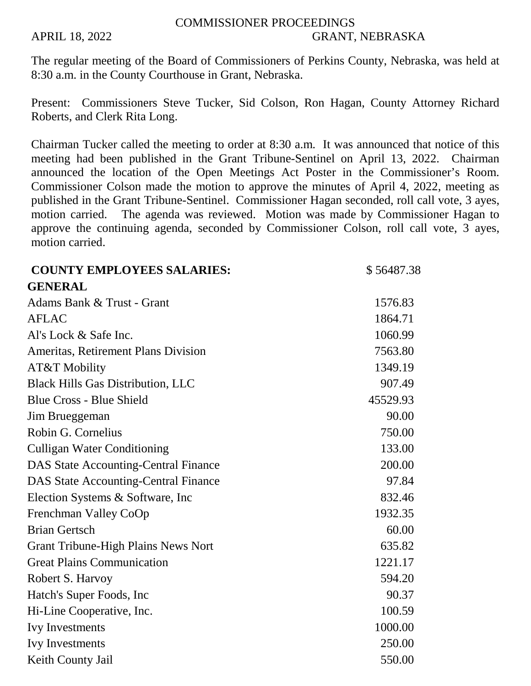## COMMISSIONER PROCEEDINGS APRIL 18, 2022 GRANT, NEBRASKA

The regular meeting of the Board of Commissioners of Perkins County, Nebraska, was held at 8:30 a.m. in the County Courthouse in Grant, Nebraska.

Present: Commissioners Steve Tucker, Sid Colson, Ron Hagan, County Attorney Richard Roberts, and Clerk Rita Long.

Chairman Tucker called the meeting to order at 8:30 a.m. It was announced that notice of this meeting had been published in the Grant Tribune-Sentinel on April 13, 2022. Chairman announced the location of the Open Meetings Act Poster in the Commissioner's Room. Commissioner Colson made the motion to approve the minutes of April 4, 2022, meeting as published in the Grant Tribune-Sentinel. Commissioner Hagan seconded, roll call vote, 3 ayes, motion carried. The agenda was reviewed. Motion was made by Commissioner Hagan to approve the continuing agenda, seconded by Commissioner Colson, roll call vote, 3 ayes, motion carried.

| <b>COUNTY EMPLOYEES SALARIES:</b>           | \$56487.38 |
|---------------------------------------------|------------|
| <b>GENERAL</b>                              |            |
| Adams Bank & Trust - Grant                  | 1576.83    |
| <b>AFLAC</b>                                | 1864.71    |
| Al's Lock & Safe Inc.                       | 1060.99    |
| Ameritas, Retirement Plans Division         | 7563.80    |
| AT&T Mobility                               | 1349.19    |
| <b>Black Hills Gas Distribution, LLC</b>    | 907.49     |
| <b>Blue Cross - Blue Shield</b>             | 45529.93   |
| Jim Brueggeman                              | 90.00      |
| Robin G. Cornelius                          | 750.00     |
| <b>Culligan Water Conditioning</b>          | 133.00     |
| <b>DAS State Accounting-Central Finance</b> | 200.00     |
| <b>DAS State Accounting-Central Finance</b> | 97.84      |
| Election Systems & Software, Inc            | 832.46     |
| Frenchman Valley CoOp                       | 1932.35    |
| <b>Brian Gertsch</b>                        | 60.00      |
| <b>Grant Tribune-High Plains News Nort</b>  | 635.82     |
| <b>Great Plains Communication</b>           | 1221.17    |
| Robert S. Harvoy                            | 594.20     |
| Hatch's Super Foods, Inc.                   | 90.37      |
| Hi-Line Cooperative, Inc.                   | 100.59     |
| <b>Ivy Investments</b>                      | 1000.00    |
| <b>Ivy Investments</b>                      | 250.00     |
| Keith County Jail                           | 550.00     |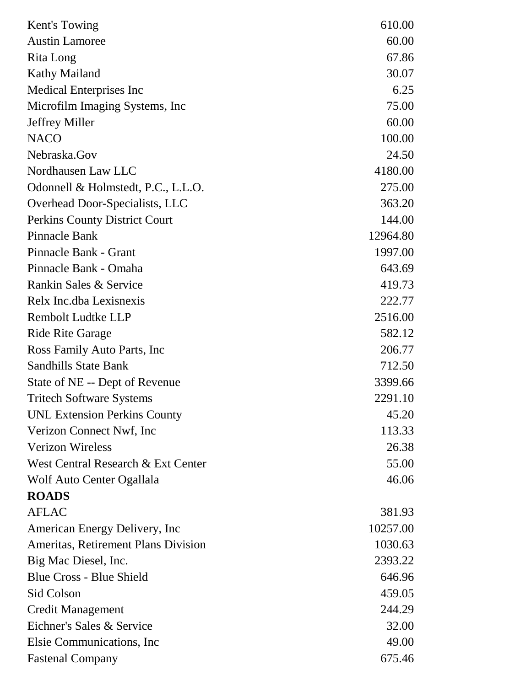| Kent's Towing                              | 610.00   |
|--------------------------------------------|----------|
| <b>Austin Lamoree</b>                      | 60.00    |
| Rita Long                                  | 67.86    |
| <b>Kathy Mailand</b>                       | 30.07    |
| <b>Medical Enterprises Inc</b>             | 6.25     |
| Microfilm Imaging Systems, Inc.            | 75.00    |
| <b>Jeffrey Miller</b>                      | 60.00    |
| <b>NACO</b>                                | 100.00   |
| Nebraska.Gov                               | 24.50    |
| Nordhausen Law LLC                         | 4180.00  |
| Odonnell & Holmstedt, P.C., L.L.O.         | 275.00   |
| Overhead Door-Specialists, LLC             | 363.20   |
| <b>Perkins County District Court</b>       | 144.00   |
| <b>Pinnacle Bank</b>                       | 12964.80 |
| Pinnacle Bank - Grant                      | 1997.00  |
| Pinnacle Bank - Omaha                      | 643.69   |
| Rankin Sales & Service                     | 419.73   |
| Relx Inc.dba Lexisnexis                    | 222.77   |
| <b>Rembolt Ludtke LLP</b>                  | 2516.00  |
| <b>Ride Rite Garage</b>                    | 582.12   |
| Ross Family Auto Parts, Inc                | 206.77   |
| <b>Sandhills State Bank</b>                | 712.50   |
| State of NE -- Dept of Revenue             | 3399.66  |
| <b>Tritech Software Systems</b>            | 2291.10  |
| <b>UNL Extension Perkins County</b>        | 45.20    |
| Verizon Connect Nwf, Inc                   | 113.33   |
| <b>Verizon Wireless</b>                    | 26.38    |
| West Central Research & Ext Center         | 55.00    |
| Wolf Auto Center Ogallala                  | 46.06    |
| <b>ROADS</b>                               |          |
| <b>AFLAC</b>                               | 381.93   |
| American Energy Delivery, Inc              | 10257.00 |
| <b>Ameritas, Retirement Plans Division</b> | 1030.63  |
| Big Mac Diesel, Inc.                       | 2393.22  |
| <b>Blue Cross - Blue Shield</b>            | 646.96   |
| Sid Colson                                 | 459.05   |
| <b>Credit Management</b>                   | 244.29   |
| Eichner's Sales & Service                  | 32.00    |
| Elsie Communications, Inc.                 | 49.00    |
| <b>Fastenal Company</b>                    | 675.46   |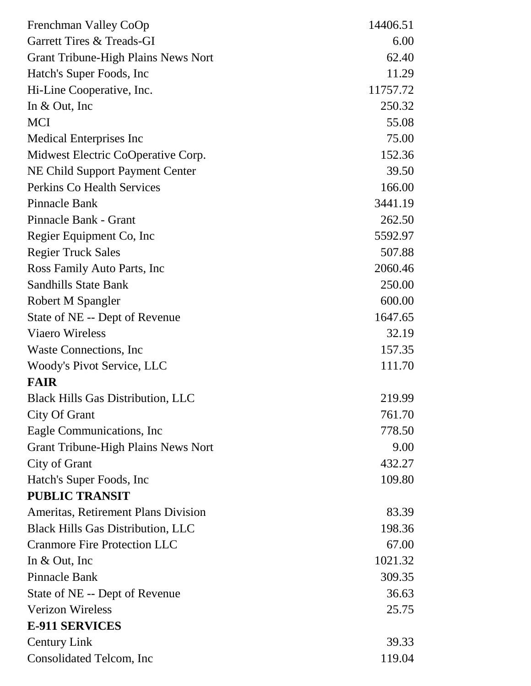| Frenchman Valley CoOp                      | 14406.51 |
|--------------------------------------------|----------|
| Garrett Tires & Treads-GI                  | 6.00     |
| <b>Grant Tribune-High Plains News Nort</b> | 62.40    |
| Hatch's Super Foods, Inc.                  | 11.29    |
| Hi-Line Cooperative, Inc.                  | 11757.72 |
| In $& Out, Inc$                            | 250.32   |
| <b>MCI</b>                                 | 55.08    |
| <b>Medical Enterprises Inc</b>             | 75.00    |
| Midwest Electric CoOperative Corp.         | 152.36   |
| <b>NE Child Support Payment Center</b>     | 39.50    |
| Perkins Co Health Services                 | 166.00   |
| <b>Pinnacle Bank</b>                       | 3441.19  |
| Pinnacle Bank - Grant                      | 262.50   |
| Regier Equipment Co, Inc.                  | 5592.97  |
| <b>Regier Truck Sales</b>                  | 507.88   |
| Ross Family Auto Parts, Inc.               | 2060.46  |
| <b>Sandhills State Bank</b>                | 250.00   |
| Robert M Spangler                          | 600.00   |
| State of NE -- Dept of Revenue             | 1647.65  |
| <b>Viaero Wireless</b>                     | 32.19    |
| Waste Connections, Inc.                    | 157.35   |
| <b>Woody's Pivot Service, LLC</b>          | 111.70   |
| <b>FAIR</b>                                |          |
| <b>Black Hills Gas Distribution, LLC</b>   | 219.99   |
| City Of Grant                              | 761.70   |
| Eagle Communications, Inc.                 | 778.50   |
| <b>Grant Tribune-High Plains News Nort</b> | 9.00     |
| City of Grant                              | 432.27   |
| Hatch's Super Foods, Inc.                  | 109.80   |
| <b>PUBLIC TRANSIT</b>                      |          |
| Ameritas, Retirement Plans Division        | 83.39    |
| <b>Black Hills Gas Distribution, LLC</b>   | 198.36   |
| <b>Cranmore Fire Protection LLC</b>        | 67.00    |
| In $& Out, Inc$                            | 1021.32  |
| Pinnacle Bank                              | 309.35   |
| State of NE -- Dept of Revenue             | 36.63    |
| <b>Verizon Wireless</b>                    | 25.75    |
| <b>E-911 SERVICES</b>                      |          |
| <b>Century Link</b>                        | 39.33    |
| Consolidated Telcom, Inc.                  | 119.04   |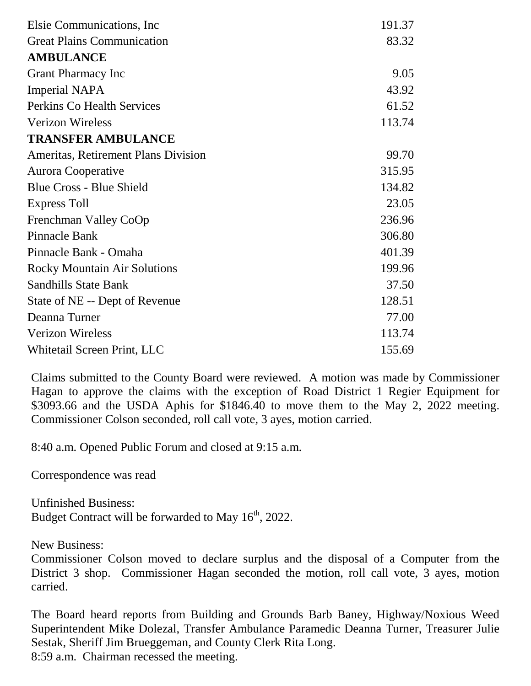| Elsie Communications, Inc.          | 191.37 |
|-------------------------------------|--------|
| <b>Great Plains Communication</b>   | 83.32  |
| <b>AMBULANCE</b>                    |        |
| <b>Grant Pharmacy Inc</b>           | 9.05   |
| <b>Imperial NAPA</b>                | 43.92  |
| <b>Perkins Co Health Services</b>   | 61.52  |
| <b>Verizon Wireless</b>             | 113.74 |
| <b>TRANSFER AMBULANCE</b>           |        |
| Ameritas, Retirement Plans Division | 99.70  |
| <b>Aurora Cooperative</b>           | 315.95 |
| <b>Blue Cross - Blue Shield</b>     | 134.82 |
| <b>Express Toll</b>                 | 23.05  |
| Frenchman Valley CoOp               | 236.96 |
| Pinnacle Bank                       | 306.80 |
| Pinnacle Bank - Omaha               | 401.39 |
| <b>Rocky Mountain Air Solutions</b> | 199.96 |
| <b>Sandhills State Bank</b>         | 37.50  |
| State of NE -- Dept of Revenue      | 128.51 |
| Deanna Turner                       | 77.00  |
| <b>Verizon Wireless</b>             | 113.74 |
| Whitetail Screen Print, LLC         | 155.69 |

Claims submitted to the County Board were reviewed. A motion was made by Commissioner Hagan to approve the claims with the exception of Road District 1 Regier Equipment for \$3093.66 and the USDA Aphis for \$1846.40 to move them to the May 2, 2022 meeting. Commissioner Colson seconded, roll call vote, 3 ayes, motion carried.

8:40 a.m. Opened Public Forum and closed at 9:15 a.m.

Correspondence was read

Unfinished Business: Budget Contract will be forwarded to May  $16<sup>th</sup>$ , 2022.

New Business:

Commissioner Colson moved to declare surplus and the disposal of a Computer from the District 3 shop. Commissioner Hagan seconded the motion, roll call vote, 3 ayes, motion carried.

The Board heard reports from Building and Grounds Barb Baney, Highway/Noxious Weed Superintendent Mike Dolezal, Transfer Ambulance Paramedic Deanna Turner, Treasurer Julie Sestak, Sheriff Jim Brueggeman, and County Clerk Rita Long. 8:59 a.m. Chairman recessed the meeting.